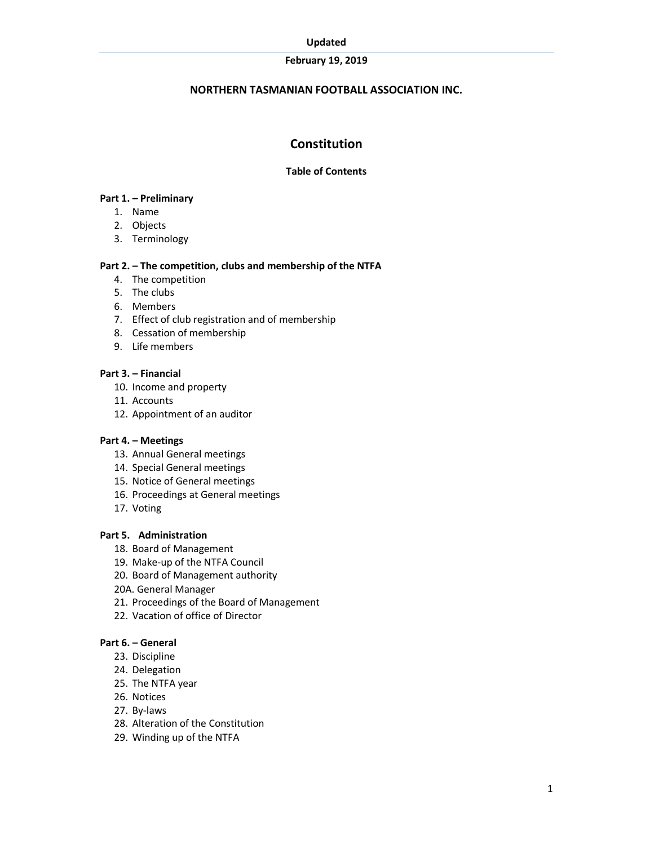#### Updated

### February 19, 2019

### NORTHERN TASMANIAN FOOTBALL ASSOCIATION INC.

# **Constitution**

### Table of Contents

#### Part 1. – Preliminary

- 1. Name
- 2. Objects
- 3. Terminology

### Part 2. – The competition, clubs and membership of the NTFA

- 4. The competition
- 5. The clubs
- 6. Members
- 7. Effect of club registration and of membership
- 8. Cessation of membership
- 9. Life members

#### Part 3. – Financial

- 10. Income and property
- 11. Accounts
- 12. Appointment of an auditor

### Part 4. – Meetings

- 13. Annual General meetings
- 14. Special General meetings
- 15. Notice of General meetings
- 16. Proceedings at General meetings
- 17. Voting

### Part 5. Administration

- 18. Board of Management
- 19. Make-up of the NTFA Council
- 20. Board of Management authority
- 20A. General Manager
- 21. Proceedings of the Board of Management
- 22. Vacation of office of Director

### Part 6. – General

- 23. Discipline
- 24. Delegation
- 25. The NTFA year
- 26. Notices
- 27. By-laws
- 28. Alteration of the Constitution
- 29. Winding up of the NTFA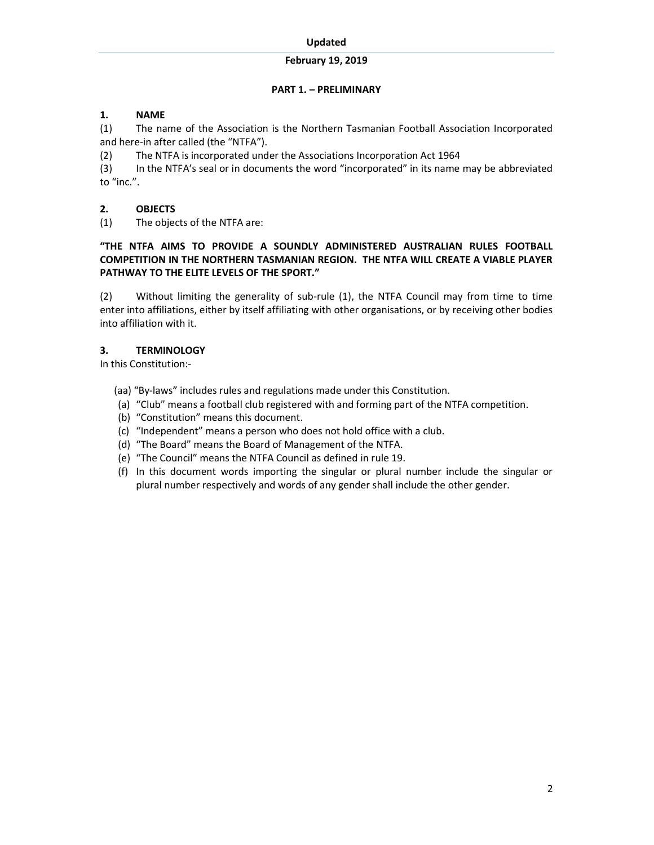## PART 1. – PRELIMINARY

# 1. NAME

(1) The name of the Association is the Northern Tasmanian Football Association Incorporated and here-in after called (the "NTFA").

(2) The NTFA is incorporated under the Associations Incorporation Act 1964

(3) In the NTFA's seal or in documents the word "incorporated" in its name may be abbreviated to "inc.".

# 2. OBJECTS

(1) The objects of the NTFA are:

## "THE NTFA AIMS TO PROVIDE A SOUNDLY ADMINISTERED AUSTRALIAN RULES FOOTBALL COMPETITION IN THE NORTHERN TASMANIAN REGION. THE NTFA WILL CREATE A VIABLE PLAYER PATHWAY TO THE ELITE LEVELS OF THE SPORT."

(2) Without limiting the generality of sub-rule (1), the NTFA Council may from time to time enter into affiliations, either by itself affiliating with other organisations, or by receiving other bodies into affiliation with it.

# 3. TERMINOLOGY

In this Constitution:-

(aa) "By-laws" includes rules and regulations made under this Constitution.

- (a) "Club" means a football club registered with and forming part of the NTFA competition.
- (b) "Constitution" means this document.
- (c) "Independent" means a person who does not hold office with a club.
- (d) "The Board" means the Board of Management of the NTFA.
- (e) "The Council" means the NTFA Council as defined in rule 19.
- (f) In this document words importing the singular or plural number include the singular or plural number respectively and words of any gender shall include the other gender.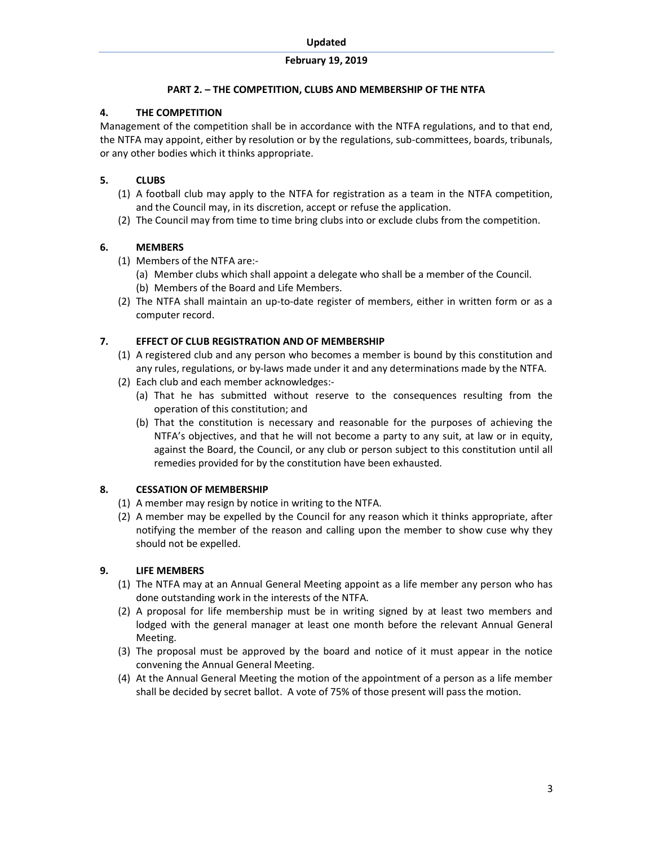### PART 2. – THE COMPETITION, CLUBS AND MEMBERSHIP OF THE NTFA

## 4. THE COMPETITION

Management of the competition shall be in accordance with the NTFA regulations, and to that end, the NTFA may appoint, either by resolution or by the regulations, sub-committees, boards, tribunals, or any other bodies which it thinks appropriate.

## 5. CLUBS

- (1) A football club may apply to the NTFA for registration as a team in the NTFA competition, and the Council may, in its discretion, accept or refuse the application.
- (2) The Council may from time to time bring clubs into or exclude clubs from the competition.

# 6. MEMBERS

- (1) Members of the NTFA are:-
	- (a) Member clubs which shall appoint a delegate who shall be a member of the Council. (b) Members of the Board and Life Members.
- (2) The NTFA shall maintain an up-to-date register of members, either in written form or as a computer record.

# 7. EFFECT OF CLUB REGISTRATION AND OF MEMBERSHIP

- (1) A registered club and any person who becomes a member is bound by this constitution and any rules, regulations, or by-laws made under it and any determinations made by the NTFA.
- (2) Each club and each member acknowledges:-
	- (a) That he has submitted without reserve to the consequences resulting from the operation of this constitution; and
	- (b) That the constitution is necessary and reasonable for the purposes of achieving the NTFA's objectives, and that he will not become a party to any suit, at law or in equity, against the Board, the Council, or any club or person subject to this constitution until all remedies provided for by the constitution have been exhausted.

# 8. CESSATION OF MEMBERSHIP

- (1) A member may resign by notice in writing to the NTFA.
- (2) A member may be expelled by the Council for any reason which it thinks appropriate, after notifying the member of the reason and calling upon the member to show cuse why they should not be expelled.

## 9. LIFE MEMBERS

- (1) The NTFA may at an Annual General Meeting appoint as a life member any person who has done outstanding work in the interests of the NTFA.
- (2) A proposal for life membership must be in writing signed by at least two members and lodged with the general manager at least one month before the relevant Annual General Meeting.
- (3) The proposal must be approved by the board and notice of it must appear in the notice convening the Annual General Meeting.
- (4) At the Annual General Meeting the motion of the appointment of a person as a life member shall be decided by secret ballot. A vote of 75% of those present will pass the motion.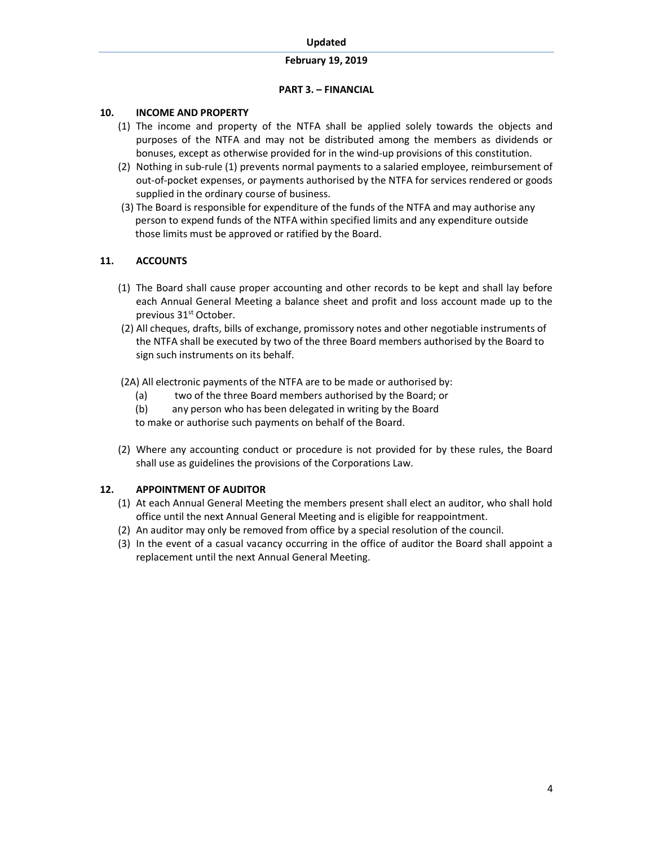### PART 3. – FINANCIAL

### 10. INCOME AND PROPERTY

- (1) The income and property of the NTFA shall be applied solely towards the objects and purposes of the NTFA and may not be distributed among the members as dividends or bonuses, except as otherwise provided for in the wind-up provisions of this constitution.
- (2) Nothing in sub-rule (1) prevents normal payments to a salaried employee, reimbursement of out-of-pocket expenses, or payments authorised by the NTFA for services rendered or goods supplied in the ordinary course of business.
- (3) The Board is responsible for expenditure of the funds of the NTFA and may authorise any person to expend funds of the NTFA within specified limits and any expenditure outside those limits must be approved or ratified by the Board.

## 11. ACCOUNTS

- (1) The Board shall cause proper accounting and other records to be kept and shall lay before each Annual General Meeting a balance sheet and profit and loss account made up to the previous 31<sup>st</sup> October.
- (2) All cheques, drafts, bills of exchange, promissory notes and other negotiable instruments of the NTFA shall be executed by two of the three Board members authorised by the Board to sign such instruments on its behalf.
- (2A) All electronic payments of the NTFA are to be made or authorised by:
	- (a) two of the three Board members authorised by the Board; or
	- (b) any person who has been delegated in writing by the Board

to make or authorise such payments on behalf of the Board.

(2) Where any accounting conduct or procedure is not provided for by these rules, the Board shall use as guidelines the provisions of the Corporations Law.

## 12. APPOINTMENT OF AUDITOR

- (1) At each Annual General Meeting the members present shall elect an auditor, who shall hold office until the next Annual General Meeting and is eligible for reappointment.
- (2) An auditor may only be removed from office by a special resolution of the council.
- (3) In the event of a casual vacancy occurring in the office of auditor the Board shall appoint a replacement until the next Annual General Meeting.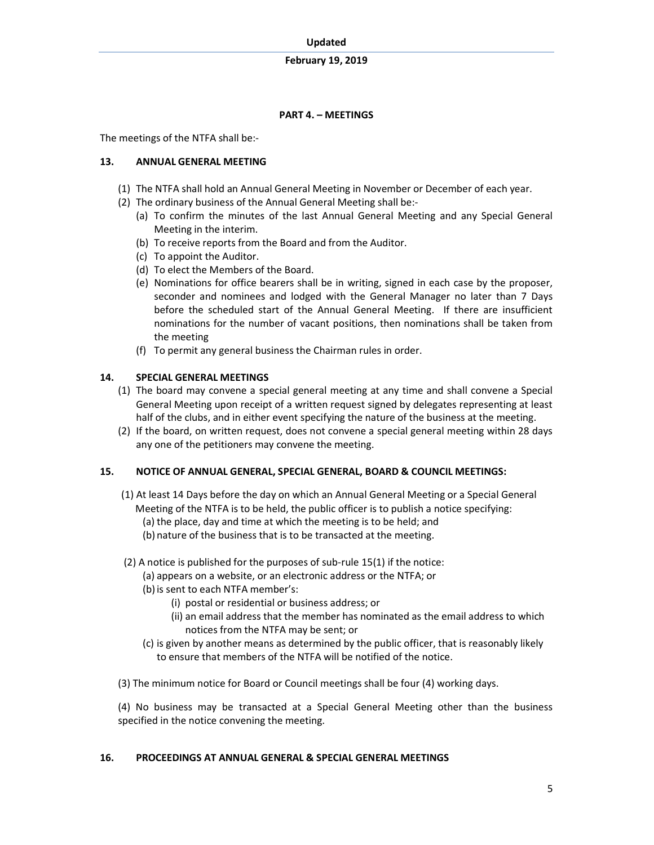## PART 4. – MEETINGS

The meetings of the NTFA shall be:-

### 13. ANNUAL GENERAL MEETING

- (1) The NTFA shall hold an Annual General Meeting in November or December of each year.
- (2) The ordinary business of the Annual General Meeting shall be:-
	- (a) To confirm the minutes of the last Annual General Meeting and any Special General Meeting in the interim.
	- (b) To receive reports from the Board and from the Auditor.
	- (c) To appoint the Auditor.
	- (d) To elect the Members of the Board.
	- (e) Nominations for office bearers shall be in writing, signed in each case by the proposer, seconder and nominees and lodged with the General Manager no later than 7 Days before the scheduled start of the Annual General Meeting. If there are insufficient nominations for the number of vacant positions, then nominations shall be taken from the meeting
	- (f) To permit any general business the Chairman rules in order.

## 14. SPECIAL GENERAL MEETINGS

- (1) The board may convene a special general meeting at any time and shall convene a Special General Meeting upon receipt of a written request signed by delegates representing at least half of the clubs, and in either event specifying the nature of the business at the meeting.
- (2) If the board, on written request, does not convene a special general meeting within 28 days any one of the petitioners may convene the meeting.

## 15. NOTICE OF ANNUAL GENERAL, SPECIAL GENERAL, BOARD & COUNCIL MEETINGS:

- (1) At least 14 Days before the day on which an Annual General Meeting or a Special General Meeting of the NTFA is to be held, the public officer is to publish a notice specifying: (a) the place, day and time at which the meeting is to be held; and
	- (b) nature of the business that is to be transacted at the meeting.
- (2) A notice is published for the purposes of sub-rule 15(1) if the notice:
	- (a) appears on a website, or an electronic address or the NTFA; or
	- (b) is sent to each NTFA member's:
		- (i) postal or residential or business address; or
		- (ii) an email address that the member has nominated as the email address to which notices from the NTFA may be sent; or
	- (c) is given by another means as determined by the public officer, that is reasonably likely to ensure that members of the NTFA will be notified of the notice.
- (3) The minimum notice for Board or Council meetings shall be four (4) working days.

(4) No business may be transacted at a Special General Meeting other than the business specified in the notice convening the meeting.

## 16. PROCEEDINGS AT ANNUAL GENERAL & SPECIAL GENERAL MEETINGS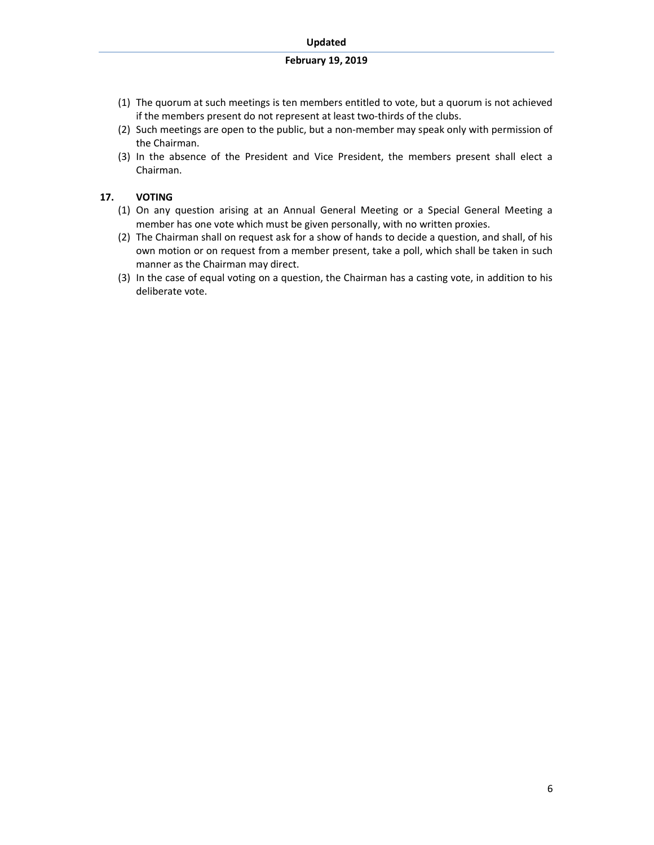- (1) The quorum at such meetings is ten members entitled to vote, but a quorum is not achieved if the members present do not represent at least two-thirds of the clubs.
- (2) Such meetings are open to the public, but a non-member may speak only with permission of the Chairman.
- (3) In the absence of the President and Vice President, the members present shall elect a Chairman.

### 17. VOTING

- (1) On any question arising at an Annual General Meeting or a Special General Meeting a member has one vote which must be given personally, with no written proxies.
- (2) The Chairman shall on request ask for a show of hands to decide a question, and shall, of his own motion or on request from a member present, take a poll, which shall be taken in such manner as the Chairman may direct.
- (3) In the case of equal voting on a question, the Chairman has a casting vote, in addition to his deliberate vote.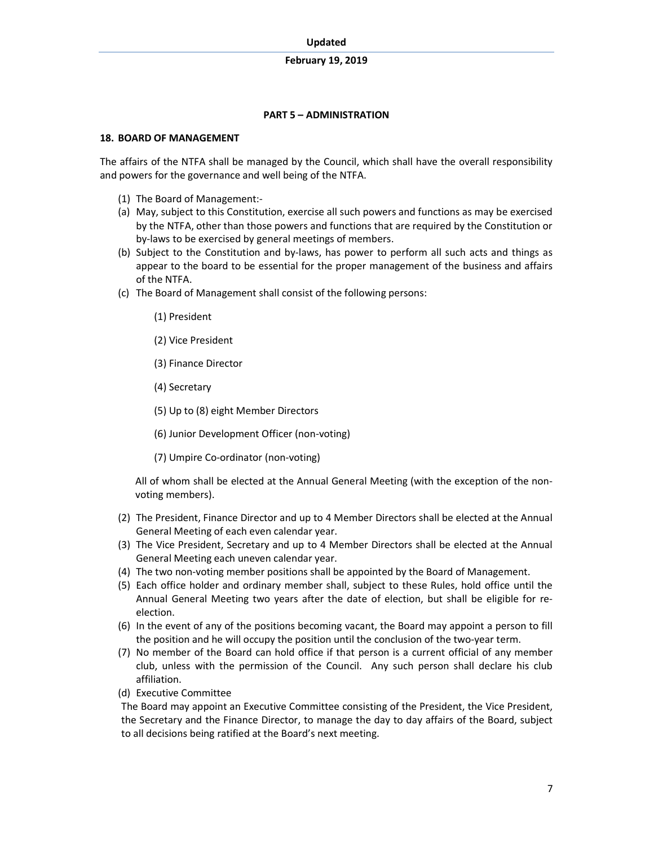#### PART 5 – ADMINISTRATION

#### 18. BOARD OF MANAGEMENT

The affairs of the NTFA shall be managed by the Council, which shall have the overall responsibility and powers for the governance and well being of the NTFA.

- (1) The Board of Management:-
- (a) May, subject to this Constitution, exercise all such powers and functions as may be exercised by the NTFA, other than those powers and functions that are required by the Constitution or by-laws to be exercised by general meetings of members.
- (b) Subject to the Constitution and by-laws, has power to perform all such acts and things as appear to the board to be essential for the proper management of the business and affairs of the NTFA.
- (c) The Board of Management shall consist of the following persons:
	- (1) President
	- (2) Vice President
	- (3) Finance Director
	- (4) Secretary
	- (5) Up to (8) eight Member Directors
	- (6) Junior Development Officer (non-voting)
	- (7) Umpire Co-ordinator (non-voting)

All of whom shall be elected at the Annual General Meeting (with the exception of the nonvoting members).

- (2) The President, Finance Director and up to 4 Member Directors shall be elected at the Annual General Meeting of each even calendar year.
- (3) The Vice President, Secretary and up to 4 Member Directors shall be elected at the Annual General Meeting each uneven calendar year.
- (4) The two non-voting member positions shall be appointed by the Board of Management.
- (5) Each office holder and ordinary member shall, subject to these Rules, hold office until the Annual General Meeting two years after the date of election, but shall be eligible for reelection.
- (6) In the event of any of the positions becoming vacant, the Board may appoint a person to fill the position and he will occupy the position until the conclusion of the two-year term.
- (7) No member of the Board can hold office if that person is a current official of any member club, unless with the permission of the Council. Any such person shall declare his club affiliation.
- (d) Executive Committee

The Board may appoint an Executive Committee consisting of the President, the Vice President, the Secretary and the Finance Director, to manage the day to day affairs of the Board, subject to all decisions being ratified at the Board's next meeting.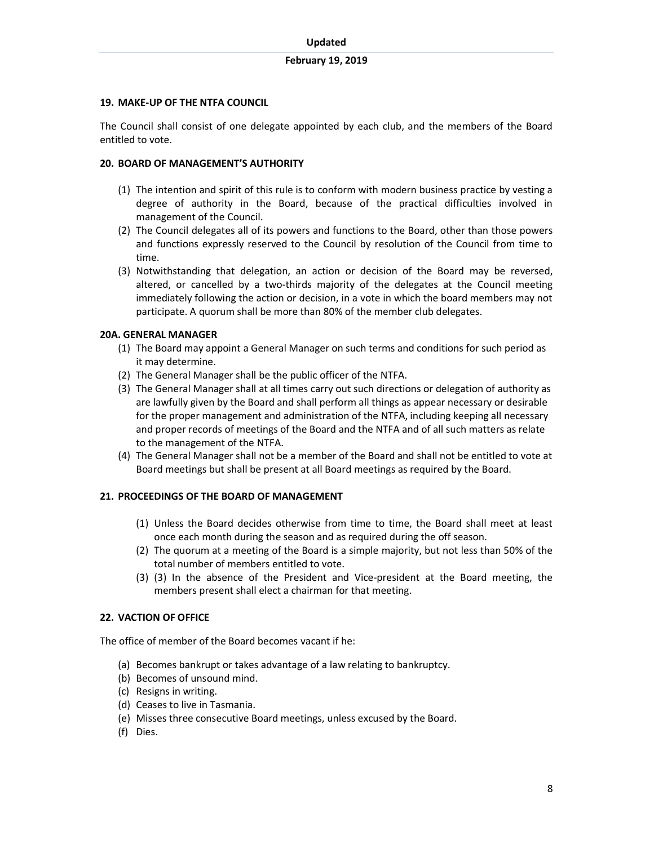### 19. MAKE-UP OF THE NTFA COUNCIL

The Council shall consist of one delegate appointed by each club, and the members of the Board entitled to vote.

#### 20. BOARD OF MANAGEMENT'S AUTHORITY

- (1) The intention and spirit of this rule is to conform with modern business practice by vesting a degree of authority in the Board, because of the practical difficulties involved in management of the Council.
- (2) The Council delegates all of its powers and functions to the Board, other than those powers and functions expressly reserved to the Council by resolution of the Council from time to time.
- (3) Notwithstanding that delegation, an action or decision of the Board may be reversed, altered, or cancelled by a two-thirds majority of the delegates at the Council meeting immediately following the action or decision, in a vote in which the board members may not participate. A quorum shall be more than 80% of the member club delegates.

### 20A. GENERAL MANAGER

- (1) The Board may appoint a General Manager on such terms and conditions for such period as it may determine.
- (2) The General Manager shall be the public officer of the NTFA.
- (3) The General Manager shall at all times carry out such directions or delegation of authority as are lawfully given by the Board and shall perform all things as appear necessary or desirable for the proper management and administration of the NTFA, including keeping all necessary and proper records of meetings of the Board and the NTFA and of all such matters as relate to the management of the NTFA.
- (4) The General Manager shall not be a member of the Board and shall not be entitled to vote at Board meetings but shall be present at all Board meetings as required by the Board.

### 21. PROCEEDINGS OF THE BOARD OF MANAGEMENT

- (1) Unless the Board decides otherwise from time to time, the Board shall meet at least once each month during the season and as required during the off season.
- (2) The quorum at a meeting of the Board is a simple majority, but not less than 50% of the total number of members entitled to vote.
- (3) (3) In the absence of the President and Vice-president at the Board meeting, the members present shall elect a chairman for that meeting.

#### 22. VACTION OF OFFICE

The office of member of the Board becomes vacant if he:

- (a) Becomes bankrupt or takes advantage of a law relating to bankruptcy.
- (b) Becomes of unsound mind.
- (c) Resigns in writing.
- (d) Ceases to live in Tasmania.
- (e) Misses three consecutive Board meetings, unless excused by the Board.
- (f) Dies.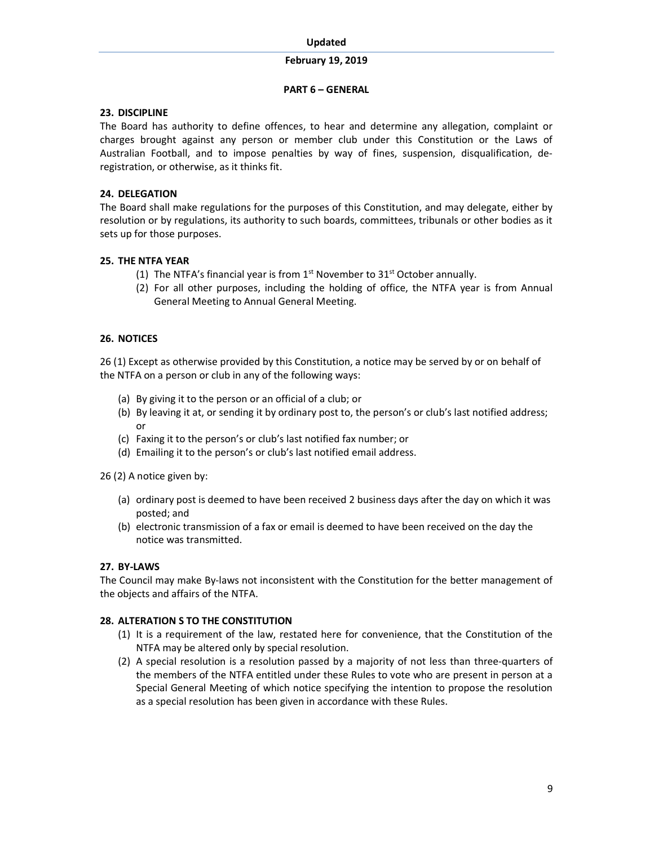### PART 6 – GENERAL

### 23. DISCIPLINE

The Board has authority to define offences, to hear and determine any allegation, complaint or charges brought against any person or member club under this Constitution or the Laws of Australian Football, and to impose penalties by way of fines, suspension, disqualification, deregistration, or otherwise, as it thinks fit.

### 24. DELEGATION

The Board shall make regulations for the purposes of this Constitution, and may delegate, either by resolution or by regulations, its authority to such boards, committees, tribunals or other bodies as it sets up for those purposes.

### 25. THE NTFA YEAR

- (1) The NTFA's financial year is from  $1<sup>st</sup>$  November to  $31<sup>st</sup>$  October annually.
- (2) For all other purposes, including the holding of office, the NTFA year is from Annual General Meeting to Annual General Meeting.

### 26. NOTICES

26 (1) Except as otherwise provided by this Constitution, a notice may be served by or on behalf of the NTFA on a person or club in any of the following ways:

- (a) By giving it to the person or an official of a club; or
- (b) By leaving it at, or sending it by ordinary post to, the person's or club's last notified address; or
- (c) Faxing it to the person's or club's last notified fax number; or
- (d) Emailing it to the person's or club's last notified email address.

26 (2) A notice given by:

- (a) ordinary post is deemed to have been received 2 business days after the day on which it was posted; and
- (b) electronic transmission of a fax or email is deemed to have been received on the day the notice was transmitted.

### 27. BY-LAWS

The Council may make By-laws not inconsistent with the Constitution for the better management of the objects and affairs of the NTFA.

### 28. ALTERATION S TO THE CONSTITUTION

- (1) It is a requirement of the law, restated here for convenience, that the Constitution of the NTFA may be altered only by special resolution.
- (2) A special resolution is a resolution passed by a majority of not less than three-quarters of the members of the NTFA entitled under these Rules to vote who are present in person at a Special General Meeting of which notice specifying the intention to propose the resolution as a special resolution has been given in accordance with these Rules.